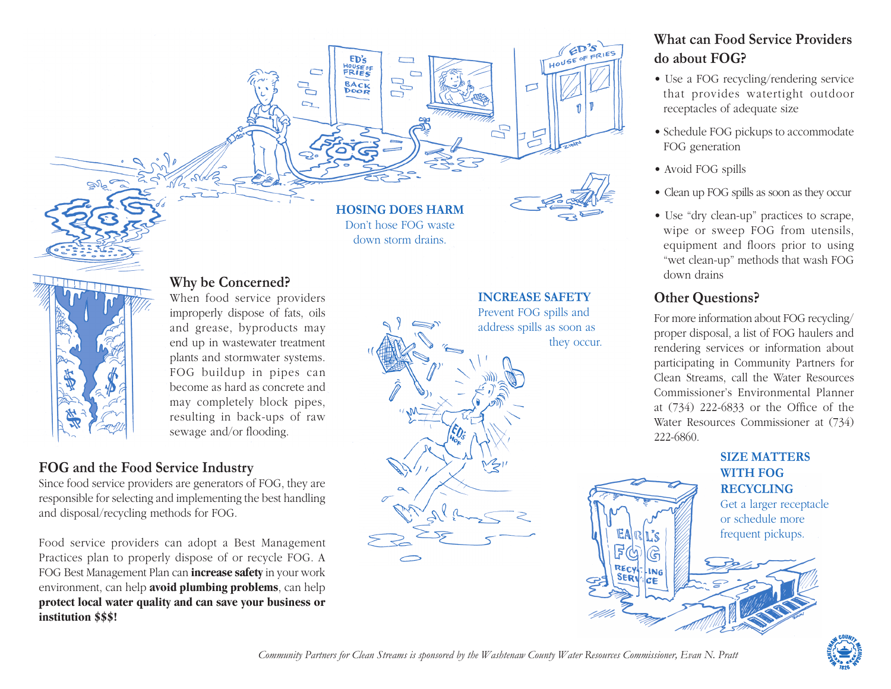## **Why be Concerned?**

When food service providers improperly dispose of fats, oils and grease, byproducts may end up in wastewater treatment plants and stormwater systems. FOG buildup in pipes can become as hard as concrete and may completely block pipes, resulting in back-ups of raw sewage and/or flooding.

### **FOG and the Food Service Industry**

Since food service providers are generators of FOG, they are responsible for selecting and implementing the best handling and disposal/recycling methods for FOG.

Food service providers can adopt a Best Management Practices plan to properly dispose of or recycle FOG. A FOG Best Management Plan can **increase safety** in your work environment, can help **avoid plumbing problems**, can help **protect local water quality and can save your business or institution \$\$\$!**

**HOSING DOES HARM** Don't hose FOG waste down storm drains.

 $FD's$ HOUSE OF

**BACK** 

 $\overline{\phantom{0}}$  $\mathbb{D}^{\mathbb{D}}$ 

 $\Box$ 

#### **INCREASE SAFETY**

仁

 $\Box$ 

Prevent FOG spills and address spills as soon as they occur.

**RECY** 

**LNG** 

 $EDS$ HOUSE OF FRIES

## **What can Food Service Providers do about FOG?**

- Use a FOG recycling/rendering service that provides watertight outdoor receptacles of adequate size
- Schedule FOG pickups to accommodate FOG generation
- Avoid FOG spills
- Clean up FOG spills as soon as they occur
- Use "dry clean-up" practices to scrape, wipe or sweep FOG from utensils, equipment and floors prior to using "wet clean-up" methods that wash FOG down drains

## **Other Questions?**

For more information about FOG recycling/ proper disposal, a list of FOG haulers and rendering services or information about participating in Community Partners for Clean Streams, call the Water Resources Commissioner's Environmental Planner at (734) 222-6833 or the Office of the Water Resources Commissioner at (734) 222-6860.

#### **SIZE MATTERS WITH FOG RECYCLING**

Get a larger receptacle or schedule more frequent pickups.



*Community Partners for Clean Streams is sponsored by the Washtenaw County Water Resources Commissioner, Evan N. Pratt*